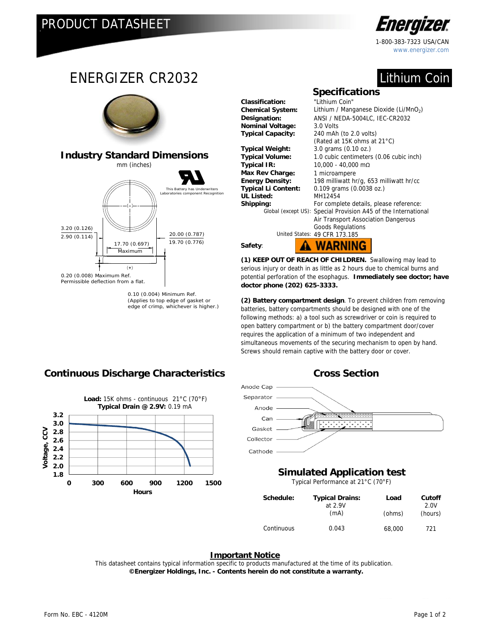

1-800-383-7323 USA/CAN www.energizer.com

# Lithium Coin



edge of crimp, whichever is higher.)

Chemical System: Lithium / Manganese Dioxide (Li/MnO<sub>2</sub>) **Designation:** ANSI / NEDA-5004LC, IEC-CR2032 **Typical Capacity:** 240 mAh (to 2.0 volts) (Rated at 15K ohms at 21°C) **Typical Weight:** 3.0 grams (0.10 oz.) **Typical Volume:** 1.0 cubic centimeters (0.06 cubic inch) **Typical IR:** 10,000 - 40,000 mΩ **Max Rev Charge:** 1 microampere **Energy Density:** 198 milliwatt hr/g, 653 milliwatt hr/cc **Typical Li Content:** 0.109 grams (0.0038 oz.) For complete details, please reference: Special Provision A45 of the International Air Transport Association Dangerous Goods Regulations United States: 49 CFR 173.185 **A WARNING** 

**(1) KEEP OUT OF REACH OF CHILDREN.** Swallowing may lead to serious injury or death in as little as 2 hours due to chemical burns and potential perforation of the esophagus. **Immediately see doctor; have doctor phone (202) 625-3333.** 

**(2) Battery compartment design**. To prevent children from removing batteries, battery compartments should be designed with one of the following methods: a) a tool such as screwdriver or coin is required to open battery compartment or b) the battery compartment door/cover requires the application of a minimum of two independent and simultaneous movements of the securing mechanism to open by hand. Screws should remain captive with the battery door or cover.



### **Simulated Application test**

Typical Performance at 21°C (70°F)

| Schedule:  | <b>Typical Drains:</b><br>at 2.9V | Load   | Cutoff<br>2.0V |
|------------|-----------------------------------|--------|----------------|
|            | (mA)                              | (ohms) | (hours)        |
| Continuous | 0.043                             | 68,000 | 721            |

### **Important Notice**

This datasheet contains typical information specific to products manufactured at the time of its publication.  **©Energizer Holdings, Inc. - Contents herein do not constitute a warranty.**

## **Continuous Discharge Characteristics Cross Section**